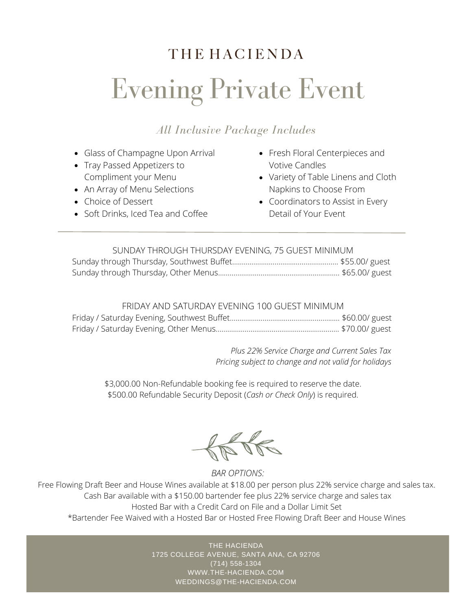# **THE HACIENDA** Evening Private Event

#### *All Inclusive Package Includes*

- Glass of Champagne Upon Arrival
- Tray Passed Appetizers to Compliment your Menu
- An Array of Menu Selections
- Choice of Dessert
- Soft Drinks, Iced Tea and Coffee
- Fresh Floral Centerpieces and Votive Candles
- Variety of Table Linens and Cloth Napkins to Choose From
- Coordinators to Assist in Every Detail of Your Event

| SUNDAY THROUGH THURSDAY EVENING, 75 GUEST MINIMUM |  |
|---------------------------------------------------|--|
|                                                   |  |
|                                                   |  |

#### FRIDAY AND SATURDAY EVENING 100 GUEST MINIMUM

*Plus 22% Service Charge and Current Sales Tax Pricing subject to change and not valid for holidays*

\$3,000.00 Non-Refundable booking fee is required to reserve the date. \$500.00 Refundable Security Deposit (*Cash or Check Only*) is required.

 $\frac{1}{\sqrt{N}}$ 

*BAR OPTIONS:*

Free Flowing Draft Beer and House Wines available at \$18.00 per person plus 22% service charge and sales tax. Cash Bar available with a \$150.00 bartender fee plus 22% service charge and sales tax Hosted Bar with a Credit Card on File and a Dollar Limit Set \*Bartender Fee Waived with a Hosted Bar or Hosted Free Flowing Draft Beer and House Wines

> THE HACIENDA 1725 COLLEGE AVENUE, SANTA ANA, CA 92706 (714) 558-1304 WWW.THE-HACIENDA.COM WEDDINGS@THE-HACIENDA.COM